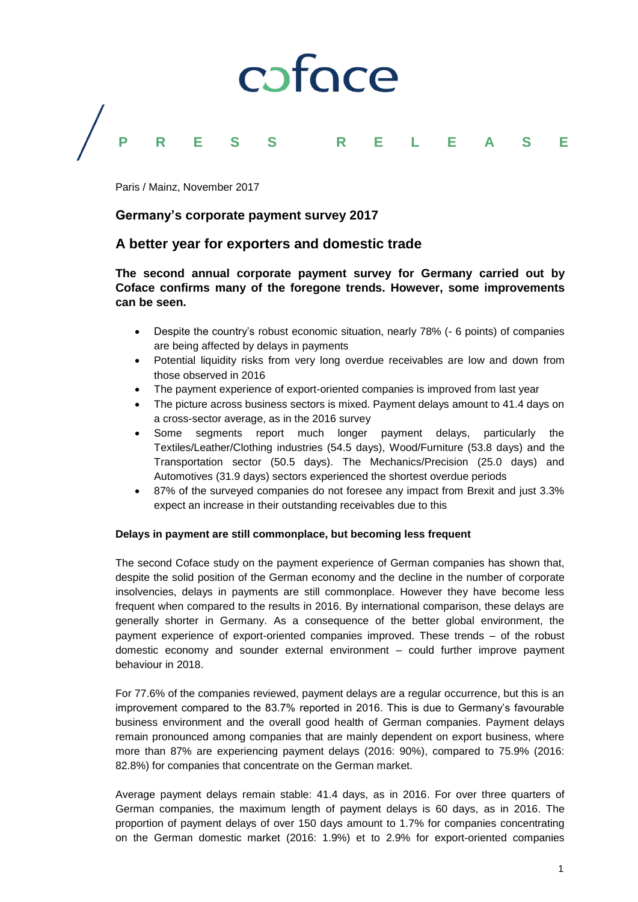

Paris / Mainz, November 2017

## **Germany's corporate payment survey 2017**

# **A better year for exporters and domestic trade**

**The second annual corporate payment survey for Germany carried out by Coface confirms many of the foregone trends. However, some improvements can be seen.**

- Despite the country's robust economic situation, nearly 78% (- 6 points) of companies are being affected by delays in payments
- Potential liquidity risks from very long overdue receivables are low and down from those observed in 2016
- The payment experience of export-oriented companies is improved from last year
- The picture across business sectors is mixed. Payment delays amount to 41.4 days on a cross-sector average, as in the 2016 survey
- Some segments report much longer payment delays, particularly the Textiles/Leather/Clothing industries (54.5 days), Wood/Furniture (53.8 days) and the Transportation sector (50.5 days). The Mechanics/Precision (25.0 days) and Automotives (31.9 days) sectors experienced the shortest overdue periods
- 87% of the surveyed companies do not foresee any impact from Brexit and just 3.3% expect an increase in their outstanding receivables due to this

#### **Delays in payment are still commonplace, but becoming less frequent**

The second Coface study on the payment experience of German companies has shown that, despite the solid position of the German economy and the decline in the number of corporate insolvencies, delays in payments are still commonplace. However they have become less frequent when compared to the results in 2016. By international comparison, these delays are generally shorter in Germany. As a consequence of the better global environment, the payment experience of export-oriented companies improved. These trends – of the robust domestic economy and sounder external environment – could further improve payment behaviour in 2018.

For 77.6% of the companies reviewed, payment delays are a regular occurrence, but this is an improvement compared to the 83.7% reported in 2016. This is due to Germany's favourable business environment and the overall good health of German companies. Payment delays remain pronounced among companies that are mainly dependent on export business, where more than 87% are experiencing payment delays (2016: 90%), compared to 75.9% (2016: 82.8%) for companies that concentrate on the German market.

Average payment delays remain stable: 41.4 days, as in 2016. For over three quarters of German companies, the maximum length of payment delays is 60 days, as in 2016. The proportion of payment delays of over 150 days amount to 1.7% for companies concentrating on the German domestic market (2016: 1.9%) et to 2.9% for export-oriented companies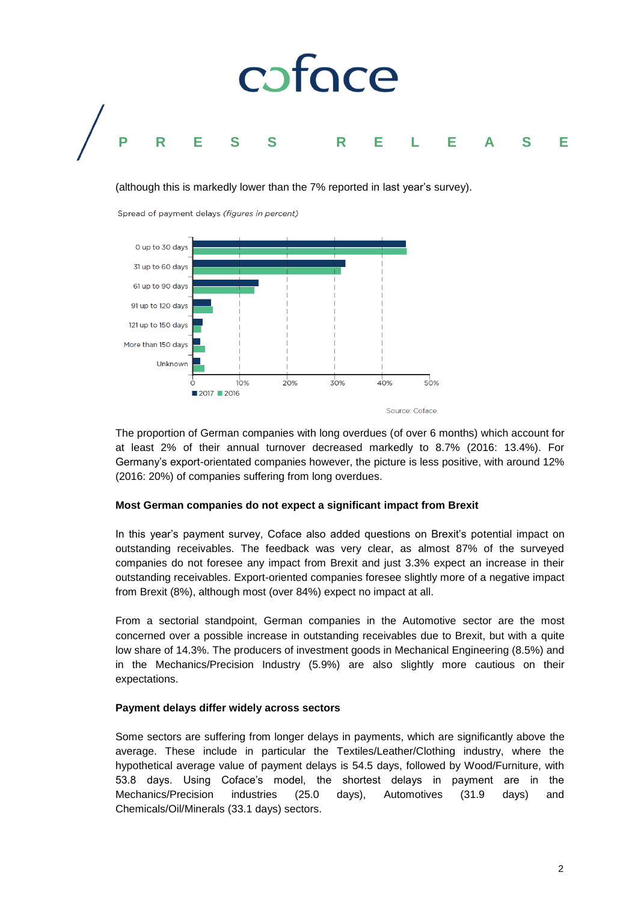

(although this is markedly lower than the 7% reported in last year's survey).

Spread of payment delays (figures in percent)



The proportion of German companies with long overdues (of over 6 months) which account for at least 2% of their annual turnover decreased markedly to 8.7% (2016: 13.4%). For Germany's export-orientated companies however, the picture is less positive, with around 12% (2016: 20%) of companies suffering from long overdues.

## **Most German companies do not expect a significant impact from Brexit**

In this year's payment survey, Coface also added questions on Brexit's potential impact on outstanding receivables. The feedback was very clear, as almost 87% of the surveyed companies do not foresee any impact from Brexit and just 3.3% expect an increase in their outstanding receivables. Export-oriented companies foresee slightly more of a negative impact from Brexit (8%), although most (over 84%) expect no impact at all.

From a sectorial standpoint, German companies in the Automotive sector are the most concerned over a possible increase in outstanding receivables due to Brexit, but with a quite low share of 14.3%. The producers of investment goods in Mechanical Engineering (8.5%) and in the Mechanics/Precision Industry (5.9%) are also slightly more cautious on their expectations.

## **Payment delays differ widely across sectors**

Some sectors are suffering from longer delays in payments, which are significantly above the average. These include in particular the Textiles/Leather/Clothing industry, where the hypothetical average value of payment delays is 54.5 days, followed by Wood/Furniture, with 53.8 days. Using Coface's model, the shortest delays in payment are in the Mechanics/Precision industries (25.0 days), Automotives (31.9 days) and Chemicals/Oil/Minerals (33.1 days) sectors.